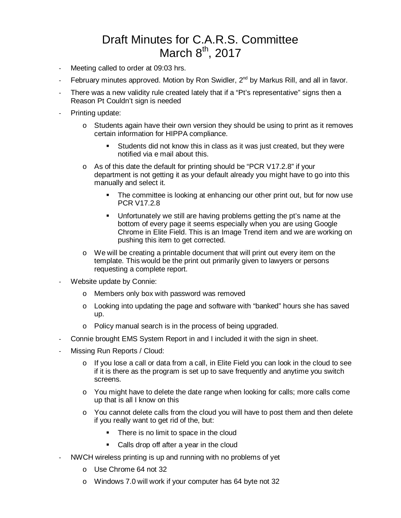## Draft Minutes for C.A.R.S. Committee March  $8<sup>th</sup>$ , 2017

- Meeting called to order at 09:03 hrs.
- February minutes approved. Motion by Ron Swidler,  $2^{nd}$  by Markus Rill, and all in favor.
- There was a new validity rule created lately that if a "Pt's representative" signs then a Reason Pt Couldn't sign is needed
- Printing update:
	- $\circ$  Students again have their own version they should be using to print as it removes certain information for HIPPA compliance.
		- Students did not know this in class as it was just created, but they were notified via e mail about this.
	- o As of this date the default for printing should be "PCR V17.2.8" if your department is not getting it as your default already you might have to go into this manually and select it.
		- The committee is looking at enhancing our other print out, but for now use PCR V17.2.8
		- Unfortunately we still are having problems getting the pt's name at the bottom of every page it seems especially when you are using Google Chrome in Elite Field. This is an Image Trend item and we are working on pushing this item to get corrected.
	- $\circ$  We will be creating a printable document that will print out every item on the template. This would be the print out primarily given to lawyers or persons requesting a complete report.
- Website update by Connie:
	- o Members only box with password was removed
	- $\circ$  Looking into updating the page and software with "banked" hours she has saved up.
	- o Policy manual search is in the process of being upgraded.
- Connie brought EMS System Report in and I included it with the sign in sheet.
- Missing Run Reports / Cloud:
	- o If you lose a call or data from a call, in Elite Field you can look in the cloud to see if it is there as the program is set up to save frequently and anytime you switch screens.
	- o You might have to delete the date range when looking for calls; more calls come up that is all I know on this
	- $\circ$  You cannot delete calls from the cloud you will have to post them and then delete if you really want to get rid of the, but:
		- There is no limit to space in the cloud
		- Calls drop off after a year in the cloud
- NWCH wireless printing is up and running with no problems of yet
	- o Use Chrome 64 not 32
	- o Windows 7.0 will work if your computer has 64 byte not 32